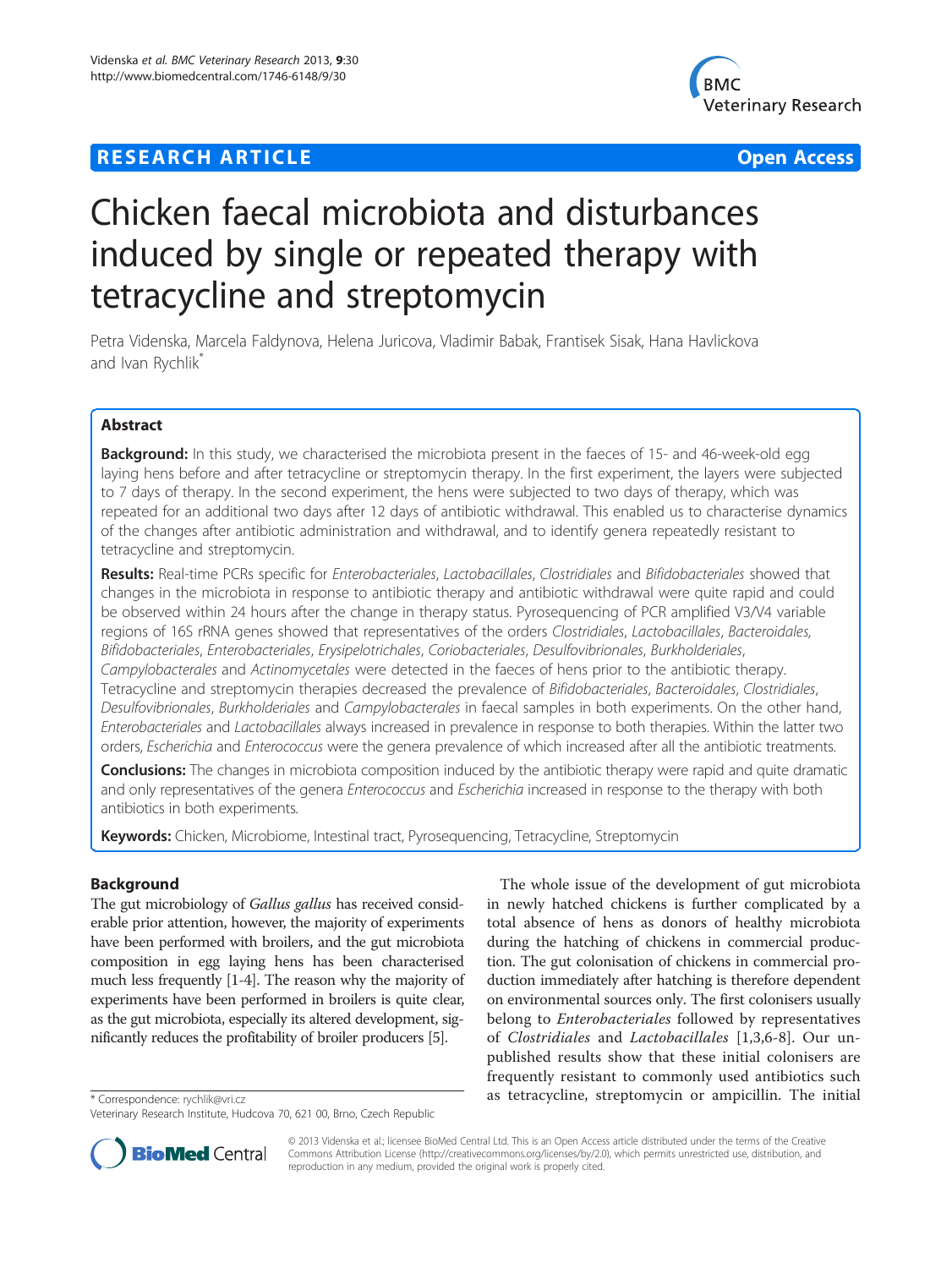# **RESEARCH ARTICLE Example 2014 12:30 THE Open Access**



# Chicken faecal microbiota and disturbances induced by single or repeated therapy with tetracycline and streptomycin

Petra Videnska, Marcela Faldynova, Helena Juricova, Vladimir Babak, Frantisek Sisak, Hana Havlickova and Ivan Rychlik<sup>\*</sup>

# Abstract

Background: In this study, we characterised the microbiota present in the faeces of 15- and 46-week-old egg laying hens before and after tetracycline or streptomycin therapy. In the first experiment, the layers were subjected to 7 days of therapy. In the second experiment, the hens were subjected to two days of therapy, which was repeated for an additional two days after 12 days of antibiotic withdrawal. This enabled us to characterise dynamics of the changes after antibiotic administration and withdrawal, and to identify genera repeatedly resistant to tetracycline and streptomycin.

Results: Real-time PCRs specific for Enterobacteriales, Lactobacillales, Clostridiales and Bifidobacteriales showed that changes in the microbiota in response to antibiotic therapy and antibiotic withdrawal were quite rapid and could be observed within 24 hours after the change in therapy status. Pyrosequencing of PCR amplified V3/V4 variable regions of 16S rRNA genes showed that representatives of the orders Clostridiales, Lactobacillales, Bacteroidales, Bifidobacteriales, Enterobacteriales, Erysipelotrichales, Coriobacteriales, Desulfovibrionales, Burkholderiales, Campylobacterales and Actinomycetales were detected in the faeces of hens prior to the antibiotic therapy. Tetracycline and streptomycin therapies decreased the prevalence of Bifidobacteriales, Bacteroidales, Clostridiales, Desulfovibrionales, Burkholderiales and Campylobacterales in faecal samples in both experiments. On the other hand, Enterobacteriales and Lactobacillales always increased in prevalence in response to both therapies. Within the latter two orders, Escherichia and Enterococcus were the genera prevalence of which increased after all the antibiotic treatments.

**Conclusions:** The changes in microbiota composition induced by the antibiotic therapy were rapid and quite dramatic and only representatives of the genera Enterococcus and Escherichia increased in response to the therapy with both antibiotics in both experiments.

Keywords: Chicken, Microbiome, Intestinal tract, Pyrosequencing, Tetracycline, Streptomycin

# Background

The gut microbiology of Gallus gallus has received considerable prior attention, however, the majority of experiments have been performed with broilers, and the gut microbiota composition in egg laying hens has been characterised much less frequently [[1](#page-7-0)-[4](#page-7-0)]. The reason why the majority of experiments have been performed in broilers is quite clear, as the gut microbiota, especially its altered development, significantly reduces the profitability of broiler producers [[5](#page-7-0)].

The whole issue of the development of gut microbiota in newly hatched chickens is further complicated by a total absence of hens as donors of healthy microbiota during the hatching of chickens in commercial production. The gut colonisation of chickens in commercial production immediately after hatching is therefore dependent on environmental sources only. The first colonisers usually belong to *Enterobacteriales* followed by representatives of Clostridiales and Lactobacillales [[1,3](#page-7-0),[6-](#page-7-0)[8](#page-8-0)]. Our unpublished results show that these initial colonisers are frequently resistant to commonly used antibiotics such \*Correspondence: [rychlik@vri.cz](mailto:rychlik@vri.cz) and as tetracycline, streptomycin or ampicillin. The initial \*Correspondence: rychlik@vri.cz



© 2013 Videnska et al.; licensee BioMed Central Ltd. This is an Open Access article distributed under the terms of the Creative Commons Attribution License [\(http://creativecommons.org/licenses/by/2.0\)](http://creativecommons.org/licenses/by/2.0), which permits unrestricted use, distribution, and reproduction in any medium, provided the original work is properly cited.

Veterinary Research Institute, Hudcova 70, 621 00, Brno, Czech Republic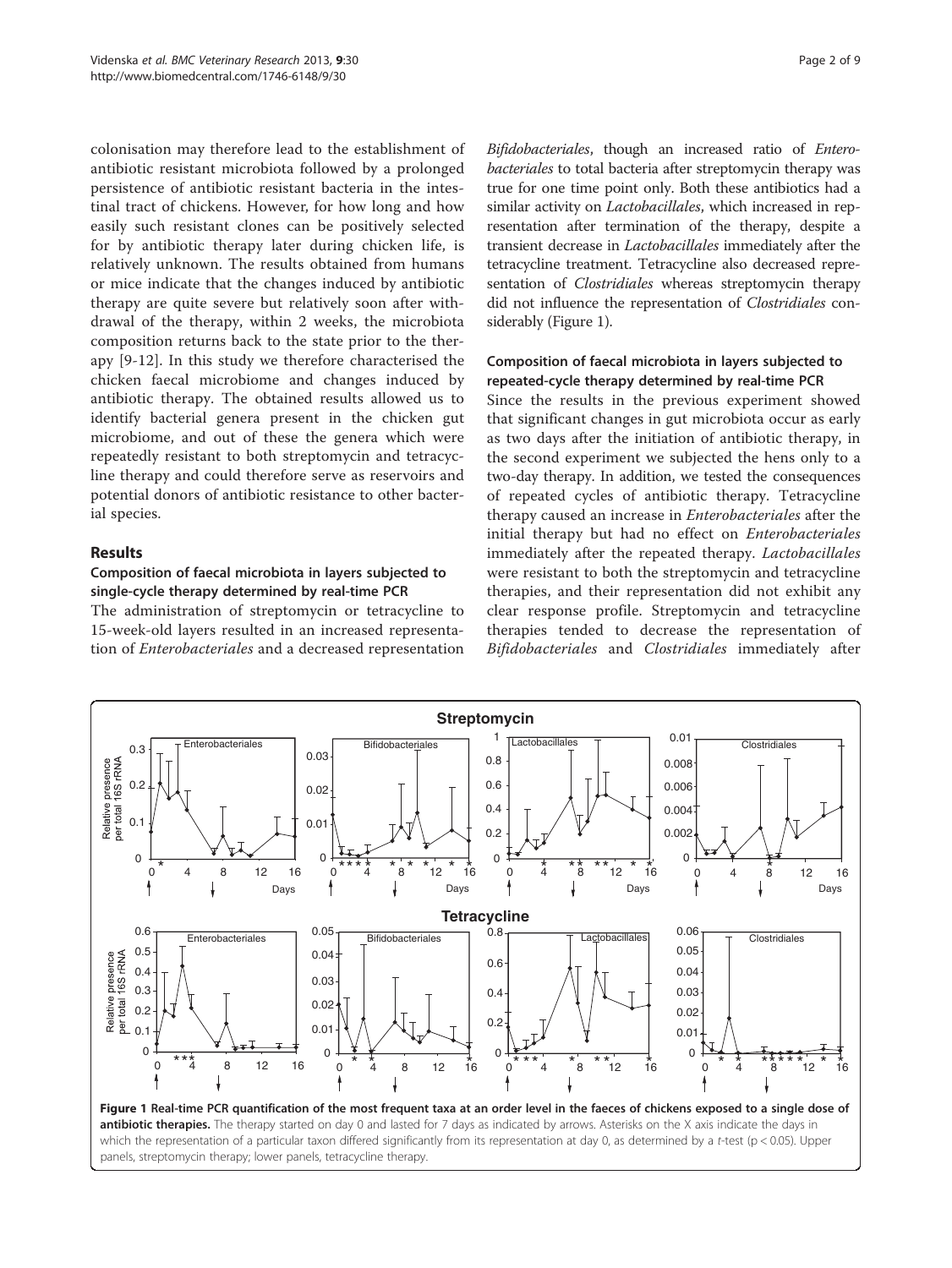<span id="page-1-0"></span>colonisation may therefore lead to the establishment of antibiotic resistant microbiota followed by a prolonged persistence of antibiotic resistant bacteria in the intestinal tract of chickens. However, for how long and how easily such resistant clones can be positively selected for by antibiotic therapy later during chicken life, is relatively unknown. The results obtained from humans or mice indicate that the changes induced by antibiotic therapy are quite severe but relatively soon after withdrawal of the therapy, within 2 weeks, the microbiota composition returns back to the state prior to the therapy [[9-12](#page-8-0)]. In this study we therefore characterised the chicken faecal microbiome and changes induced by antibiotic therapy. The obtained results allowed us to identify bacterial genera present in the chicken gut microbiome, and out of these the genera which were repeatedly resistant to both streptomycin and tetracycline therapy and could therefore serve as reservoirs and potential donors of antibiotic resistance to other bacterial species.

## Results

# Composition of faecal microbiota in layers subjected to single-cycle therapy determined by real-time PCR

The administration of streptomycin or tetracycline to 15-week-old layers resulted in an increased representation of Enterobacteriales and a decreased representation Bifidobacteriales, though an increased ratio of Enterobacteriales to total bacteria after streptomycin therapy was true for one time point only. Both these antibiotics had a similar activity on *Lactobacillales*, which increased in representation after termination of the therapy, despite a transient decrease in Lactobacillales immediately after the tetracycline treatment. Tetracycline also decreased representation of *Clostridiales* whereas streptomycin therapy did not influence the representation of Clostridiales considerably (Figure 1).

## Composition of faecal microbiota in layers subjected to repeated-cycle therapy determined by real-time PCR

Since the results in the previous experiment showed that significant changes in gut microbiota occur as early as two days after the initiation of antibiotic therapy, in the second experiment we subjected the hens only to a two-day therapy. In addition, we tested the consequences of repeated cycles of antibiotic therapy. Tetracycline therapy caused an increase in Enterobacteriales after the initial therapy but had no effect on Enterobacteriales immediately after the repeated therapy. Lactobacillales were resistant to both the streptomycin and tetracycline therapies, and their representation did not exhibit any clear response profile. Streptomycin and tetracycline therapies tended to decrease the representation of Bifidobacteriales and Clostridiales immediately after

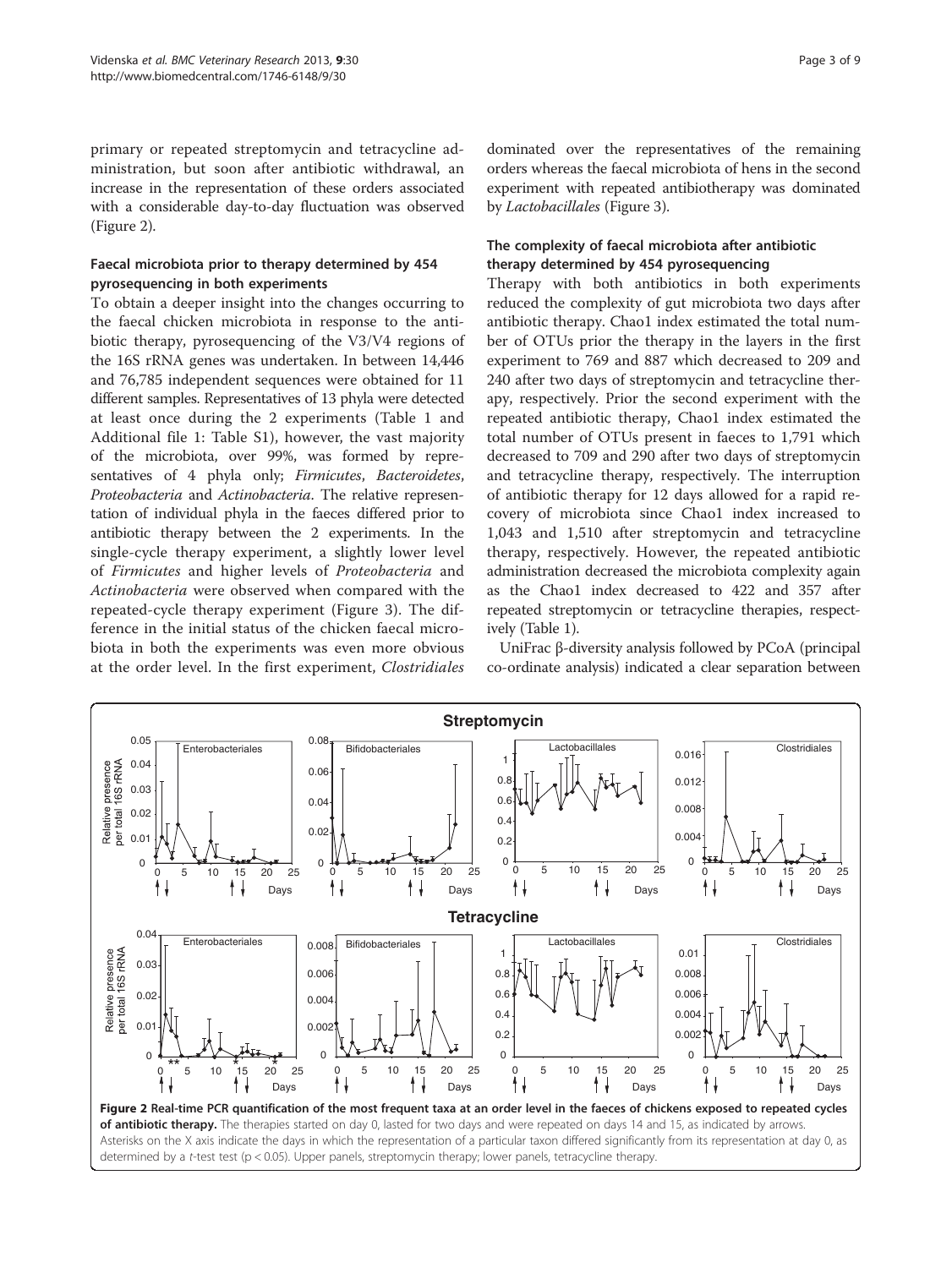<span id="page-2-0"></span>primary or repeated streptomycin and tetracycline administration, but soon after antibiotic withdrawal, an increase in the representation of these orders associated with a considerable day-to-day fluctuation was observed (Figure 2).

# Faecal microbiota prior to therapy determined by 454 pyrosequencing in both experiments

To obtain a deeper insight into the changes occurring to the faecal chicken microbiota in response to the antibiotic therapy, pyrosequencing of the V3/V4 regions of the 16S rRNA genes was undertaken. In between 14,446 and 76,785 independent sequences were obtained for 11 different samples. Representatives of 13 phyla were detected at least once during the 2 experiments (Table [1](#page-3-0) and Additional file [1](#page-7-0): Table S1), however, the vast majority of the microbiota, over 99%, was formed by representatives of 4 phyla only; Firmicutes, Bacteroidetes, Proteobacteria and Actinobacteria. The relative representation of individual phyla in the faeces differed prior to antibiotic therapy between the 2 experiments. In the single-cycle therapy experiment, a slightly lower level of Firmicutes and higher levels of Proteobacteria and Actinobacteria were observed when compared with the repeated-cycle therapy experiment (Figure [3\)](#page-3-0). The difference in the initial status of the chicken faecal microbiota in both the experiments was even more obvious at the order level. In the first experiment, Clostridiales dominated over the representatives of the remaining orders whereas the faecal microbiota of hens in the second experiment with repeated antibiotherapy was dominated by Lactobacillales (Figure [3](#page-3-0)).

# The complexity of faecal microbiota after antibiotic therapy determined by 454 pyrosequencing

Therapy with both antibiotics in both experiments reduced the complexity of gut microbiota two days after antibiotic therapy. Chao1 index estimated the total number of OTUs prior the therapy in the layers in the first experiment to 769 and 887 which decreased to 209 and 240 after two days of streptomycin and tetracycline therapy, respectively. Prior the second experiment with the repeated antibiotic therapy, Chao1 index estimated the total number of OTUs present in faeces to 1,791 which decreased to 709 and 290 after two days of streptomycin and tetracycline therapy, respectively. The interruption of antibiotic therapy for 12 days allowed for a rapid recovery of microbiota since Chao1 index increased to 1,043 and 1,510 after streptomycin and tetracycline therapy, respectively. However, the repeated antibiotic administration decreased the microbiota complexity again as the Chao1 index decreased to 422 and 357 after repeated streptomycin or tetracycline therapies, respectively (Table [1\)](#page-3-0).

UniFrac β-diversity analysis followed by PCoA (principal co-ordinate analysis) indicated a clear separation between

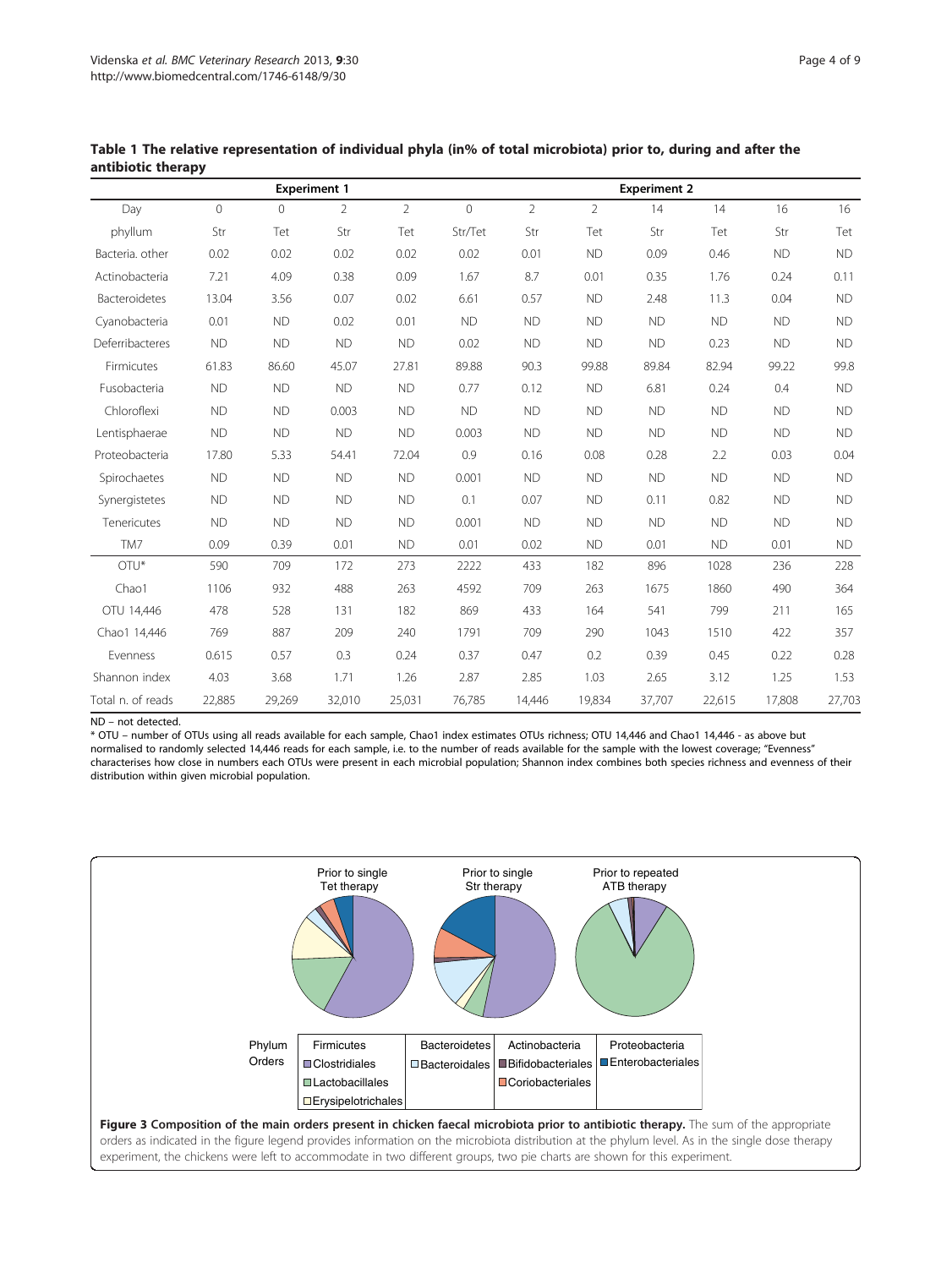|                   |                |                | <b>Experiment 1</b> |                |                |                |                | <b>Experiment 2</b> |           |           |           |
|-------------------|----------------|----------------|---------------------|----------------|----------------|----------------|----------------|---------------------|-----------|-----------|-----------|
| Day               | $\overline{0}$ | $\overline{0}$ | $\overline{2}$      | $\overline{2}$ | $\overline{0}$ | $\overline{2}$ | $\overline{2}$ | 14                  | 14        | 16        | 16        |
| phyllum           | Str            | Tet            | Str                 | Tet            | Str/Tet        | Str            | Tet            | Str                 | Tet       | Str       | Tet       |
| Bacteria. other   | 0.02           | 0.02           | 0.02                | 0.02           | 0.02           | 0.01           | <b>ND</b>      | 0.09                | 0.46      | <b>ND</b> | <b>ND</b> |
| Actinobacteria    | 7.21           | 4.09           | 0.38                | 0.09           | 1.67           | 8.7            | 0.01           | 0.35                | 1.76      | 0.24      | 0.11      |
| Bacteroidetes     | 13.04          | 3.56           | 0.07                | 0.02           | 6.61           | 0.57           | <b>ND</b>      | 2.48                | 11.3      | 0.04      | <b>ND</b> |
| Cyanobacteria     | 0.01           | <b>ND</b>      | 0.02                | 0.01           | <b>ND</b>      | <b>ND</b>      | <b>ND</b>      | <b>ND</b>           | <b>ND</b> | <b>ND</b> | <b>ND</b> |
| Deferribacteres   | <b>ND</b>      | <b>ND</b>      | <b>ND</b>           | <b>ND</b>      | 0.02           | <b>ND</b>      | <b>ND</b>      | <b>ND</b>           | 0.23      | <b>ND</b> | <b>ND</b> |
| Firmicutes        | 61.83          | 86.60          | 45.07               | 27.81          | 89.88          | 90.3           | 99.88          | 89.84               | 82.94     | 99.22     | 99.8      |
| Fusobacteria      | <b>ND</b>      | <b>ND</b>      | <b>ND</b>           | <b>ND</b>      | 0.77           | 0.12           | <b>ND</b>      | 6.81                | 0.24      | 0.4       | <b>ND</b> |
| Chloroflexi       | <b>ND</b>      | <b>ND</b>      | 0.003               | <b>ND</b>      | <b>ND</b>      | <b>ND</b>      | <b>ND</b>      | <b>ND</b>           | <b>ND</b> | <b>ND</b> | <b>ND</b> |
| Lentisphaerae     | <b>ND</b>      | <b>ND</b>      | <b>ND</b>           | <b>ND</b>      | 0.003          | <b>ND</b>      | <b>ND</b>      | <b>ND</b>           | <b>ND</b> | <b>ND</b> | <b>ND</b> |
| Proteobacteria    | 17.80          | 5.33           | 54.41               | 72.04          | 0.9            | 0.16           | 0.08           | 0.28                | 2.2       | 0.03      | 0.04      |
| Spirochaetes      | <b>ND</b>      | <b>ND</b>      | <b>ND</b>           | <b>ND</b>      | 0.001          | <b>ND</b>      | <b>ND</b>      | <b>ND</b>           | <b>ND</b> | <b>ND</b> | <b>ND</b> |
| Synergistetes     | <b>ND</b>      | <b>ND</b>      | <b>ND</b>           | <b>ND</b>      | 0.1            | 0.07           | <b>ND</b>      | 0.11                | 0.82      | <b>ND</b> | <b>ND</b> |
| Tenericutes       | <b>ND</b>      | <b>ND</b>      | <b>ND</b>           | <b>ND</b>      | 0.001          | <b>ND</b>      | <b>ND</b>      | <b>ND</b>           | <b>ND</b> | <b>ND</b> | <b>ND</b> |
| TM7               | 0.09           | 0.39           | 0.01                | <b>ND</b>      | 0.01           | 0.02           | <b>ND</b>      | 0.01                | <b>ND</b> | 0.01      | <b>ND</b> |
| OTU*              | 590            | 709            | 172                 | 273            | 2222           | 433            | 182            | 896                 | 1028      | 236       | 228       |
| Chao1             | 1106           | 932            | 488                 | 263            | 4592           | 709            | 263            | 1675                | 1860      | 490       | 364       |
| OTU 14.446        | 478            | 528            | 131                 | 182            | 869            | 433            | 164            | 541                 | 799       | 211       | 165       |
| Chao1 14,446      | 769            | 887            | 209                 | 240            | 1791           | 709            | 290            | 1043                | 1510      | 422       | 357       |
| Evenness          | 0.615          | 0.57           | 0.3                 | 0.24           | 0.37           | 0.47           | 0.2            | 0.39                | 0.45      | 0.22      | 0.28      |
| Shannon index     | 4.03           | 3.68           | 1.71                | 1.26           | 2.87           | 2.85           | 1.03           | 2.65                | 3.12      | 1.25      | 1.53      |
| Total n. of reads | 22,885         | 29,269         | 32,010              | 25,031         | 76,785         | 14,446         | 19,834         | 37,707              | 22,615    | 17,808    | 27,703    |

<span id="page-3-0"></span>Table 1 The relative representation of individual phyla (in% of total microbiota) prior to, during and after the antibiotic therapy

ND – not detected.

\* OTU – number of OTUs using all reads available for each sample, Chao1 index estimates OTUs richness; OTU 14,446 and Chao1 14,446 - as above but normalised to randomly selected 14,446 reads for each sample, i.e. to the number of reads available for the sample with the lowest coverage; "Evenness" characterises how close in numbers each OTUs were present in each microbial population; Shannon index combines both species richness and evenness of their distribution within given microbial population.

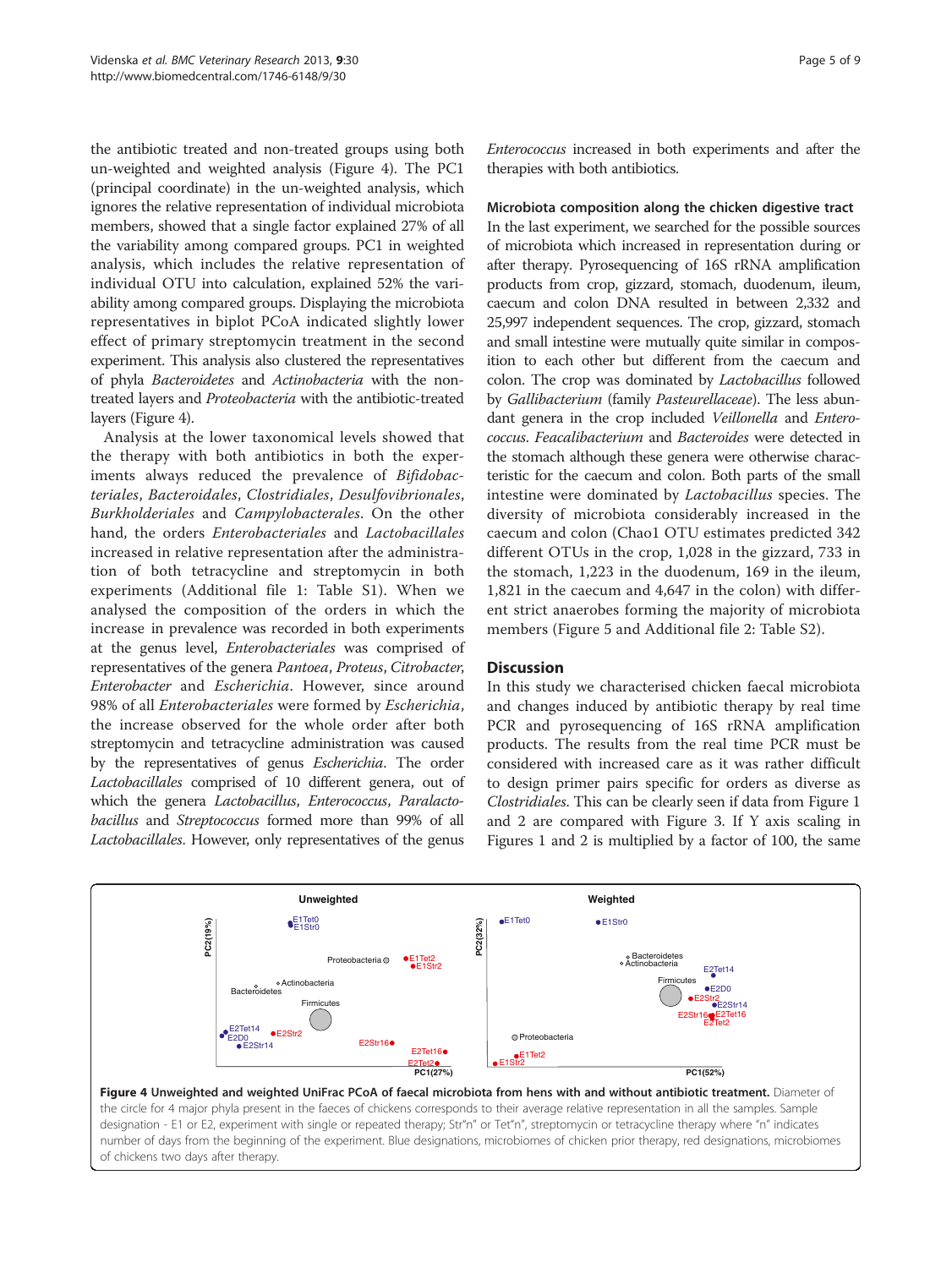the antibiotic treated and non-treated groups using both un-weighted and weighted analysis (Figure 4). The PC1 (principal coordinate) in the un-weighted analysis, which ignores the relative representation of individual microbiota members, showed that a single factor explained 27% of all the variability among compared groups. PC1 in weighted analysis, which includes the relative representation of individual OTU into calculation, explained 52% the variability among compared groups. Displaying the microbiota representatives in biplot PCoA indicated slightly lower effect of primary streptomycin treatment in the second experiment. This analysis also clustered the representatives of phyla Bacteroidetes and Actinobacteria with the nontreated layers and Proteobacteria with the antibiotic-treated layers (Figure 4).

Analysis at the lower taxonomical levels showed that the therapy with both antibiotics in both the experiments always reduced the prevalence of Bifidobacteriales, Bacteroidales, Clostridiales, Desulfovibrionales, Burkholderiales and Campylobacterales. On the other hand, the orders Enterobacteriales and Lactobacillales increased in relative representation after the administration of both tetracycline and streptomycin in both experiments (Additional file [1](#page-7-0): Table S1). When we analysed the composition of the orders in which the increase in prevalence was recorded in both experiments at the genus level, Enterobacteriales was comprised of representatives of the genera Pantoea, Proteus, Citrobacter, Enterobacter and Escherichia. However, since around 98% of all Enterobacteriales were formed by Escherichia, the increase observed for the whole order after both streptomycin and tetracycline administration was caused by the representatives of genus Escherichia. The order Lactobacillales comprised of 10 different genera, out of which the genera Lactobacillus, Enterococcus, Paralactobacillus and Streptococcus formed more than 99% of all Lactobacillales. However, only representatives of the genus Enterococcus increased in both experiments and after the therapies with both antibiotics.

#### Microbiota composition along the chicken digestive tract

In the last experiment, we searched for the possible sources of microbiota which increased in representation during or after therapy. Pyrosequencing of 16S rRNA amplification products from crop, gizzard, stomach, duodenum, ileum, caecum and colon DNA resulted in between 2,332 and 25,997 independent sequences. The crop, gizzard, stomach and small intestine were mutually quite similar in composition to each other but different from the caecum and colon. The crop was dominated by Lactobacillus followed by Gallibacterium (family Pasteurellaceae). The less abundant genera in the crop included Veillonella and Enterococcus. Feacalibacterium and Bacteroides were detected in the stomach although these genera were otherwise characteristic for the caecum and colon. Both parts of the small intestine were dominated by Lactobacillus species. The diversity of microbiota considerably increased in the caecum and colon (Chao1 OTU estimates predicted 342 different OTUs in the crop, 1,028 in the gizzard, 733 in the stomach, 1,223 in the duodenum, 169 in the ileum, 1,821 in the caecum and 4,647 in the colon) with different strict anaerobes forming the majority of microbiota members (Figure [5](#page-5-0) and Additional file [2:](#page-7-0) Table S2).

#### **Discussion**

In this study we characterised chicken faecal microbiota and changes induced by antibiotic therapy by real time PCR and pyrosequencing of 16S rRNA amplification products. The results from the real time PCR must be considered with increased care as it was rather difficult to design primer pairs specific for orders as diverse as Clostridiales. This can be clearly seen if data from Figure [1](#page-1-0) and [2](#page-2-0) are compared with Figure [3.](#page-3-0) If Y axis scaling in Figures [1](#page-1-0) and [2](#page-2-0) is multiplied by a factor of 100, the same

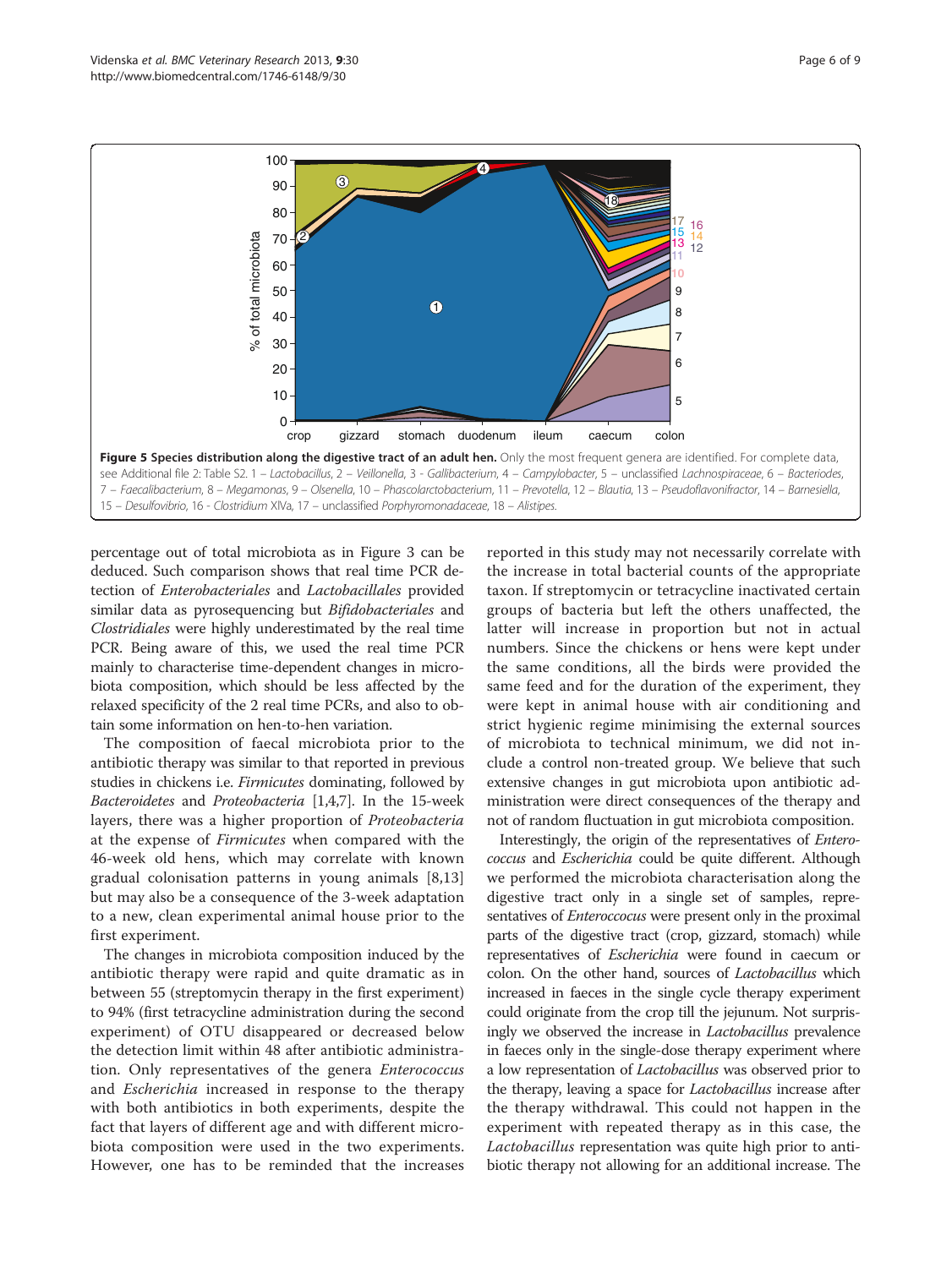<span id="page-5-0"></span>

percentage out of total microbiota as in Figure [3](#page-3-0) can be deduced. Such comparison shows that real time PCR detection of Enterobacteriales and Lactobacillales provided similar data as pyrosequencing but Bifidobacteriales and Clostridiales were highly underestimated by the real time PCR. Being aware of this, we used the real time PCR mainly to characterise time-dependent changes in microbiota composition, which should be less affected by the relaxed specificity of the 2 real time PCRs, and also to obtain some information on hen-to-hen variation.

The composition of faecal microbiota prior to the antibiotic therapy was similar to that reported in previous studies in chickens i.e. Firmicutes dominating, followed by Bacteroidetes and Proteobacteria [\[1,4,7](#page-7-0)]. In the 15-week layers, there was a higher proportion of Proteobacteria at the expense of Firmicutes when compared with the 46-week old hens, which may correlate with known gradual colonisation patterns in young animals [[8,13](#page-8-0)] but may also be a consequence of the 3-week adaptation to a new, clean experimental animal house prior to the first experiment.

The changes in microbiota composition induced by the antibiotic therapy were rapid and quite dramatic as in between 55 (streptomycin therapy in the first experiment) to 94% (first tetracycline administration during the second experiment) of OTU disappeared or decreased below the detection limit within 48 after antibiotic administration. Only representatives of the genera Enterococcus and Escherichia increased in response to the therapy with both antibiotics in both experiments, despite the fact that layers of different age and with different microbiota composition were used in the two experiments. However, one has to be reminded that the increases

reported in this study may not necessarily correlate with the increase in total bacterial counts of the appropriate taxon. If streptomycin or tetracycline inactivated certain groups of bacteria but left the others unaffected, the latter will increase in proportion but not in actual numbers. Since the chickens or hens were kept under the same conditions, all the birds were provided the same feed and for the duration of the experiment, they were kept in animal house with air conditioning and strict hygienic regime minimising the external sources of microbiota to technical minimum, we did not include a control non-treated group. We believe that such extensive changes in gut microbiota upon antibiotic administration were direct consequences of the therapy and not of random fluctuation in gut microbiota composition.

Interestingly, the origin of the representatives of Enterococcus and Escherichia could be quite different. Although we performed the microbiota characterisation along the digestive tract only in a single set of samples, representatives of *Enteroccocus* were present only in the proximal parts of the digestive tract (crop, gizzard, stomach) while representatives of Escherichia were found in caecum or colon. On the other hand, sources of Lactobacillus which increased in faeces in the single cycle therapy experiment could originate from the crop till the jejunum. Not surprisingly we observed the increase in Lactobacillus prevalence in faeces only in the single-dose therapy experiment where a low representation of Lactobacillus was observed prior to the therapy, leaving a space for Lactobacillus increase after the therapy withdrawal. This could not happen in the experiment with repeated therapy as in this case, the Lactobacillus representation was quite high prior to antibiotic therapy not allowing for an additional increase. The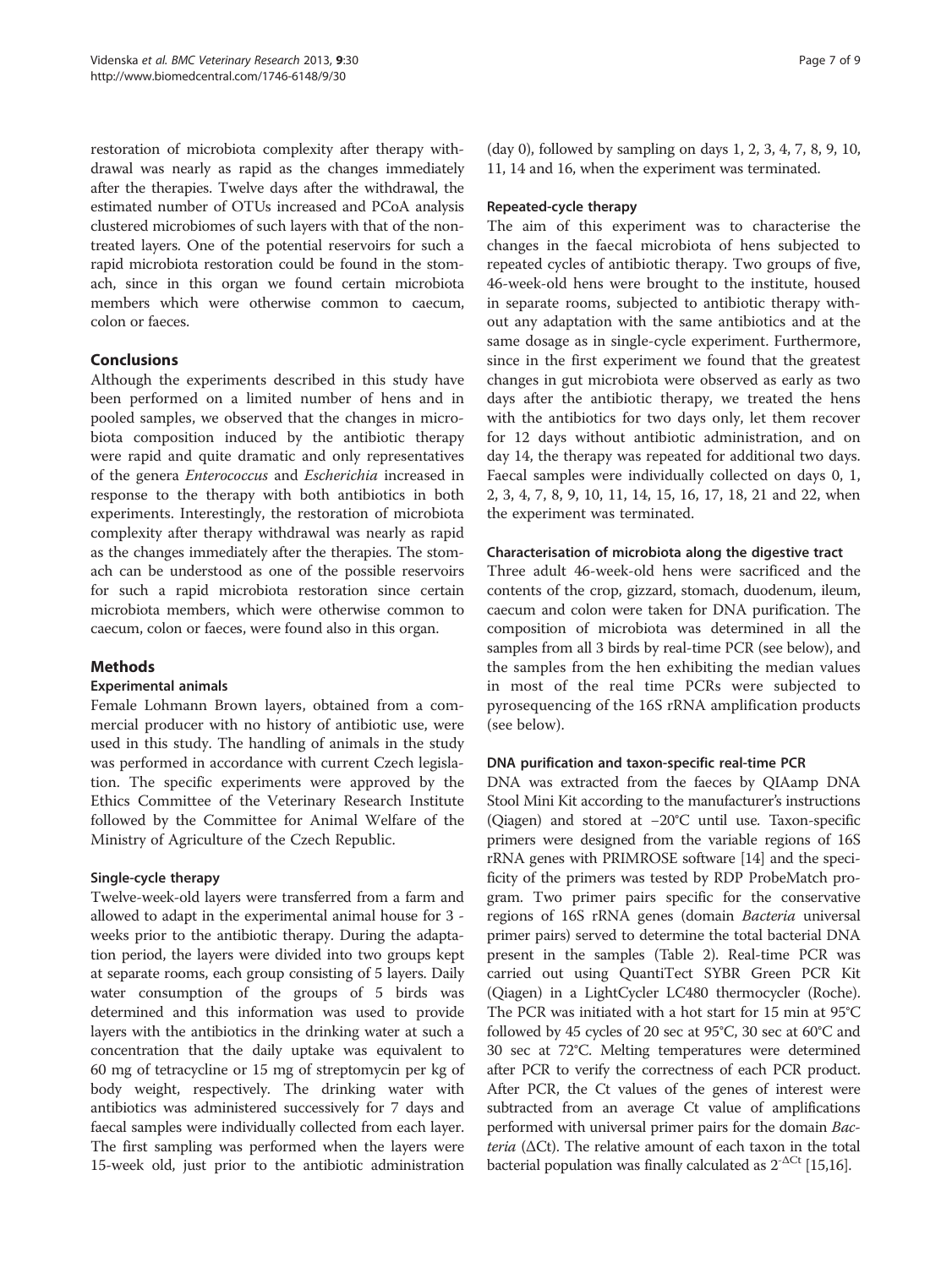restoration of microbiota complexity after therapy withdrawal was nearly as rapid as the changes immediately after the therapies. Twelve days after the withdrawal, the estimated number of OTUs increased and PCoA analysis clustered microbiomes of such layers with that of the nontreated layers. One of the potential reservoirs for such a rapid microbiota restoration could be found in the stomach, since in this organ we found certain microbiota members which were otherwise common to caecum, colon or faeces.

## Conclusions

Although the experiments described in this study have been performed on a limited number of hens and in pooled samples, we observed that the changes in microbiota composition induced by the antibiotic therapy were rapid and quite dramatic and only representatives of the genera Enterococcus and Escherichia increased in response to the therapy with both antibiotics in both experiments. Interestingly, the restoration of microbiota complexity after therapy withdrawal was nearly as rapid as the changes immediately after the therapies. The stomach can be understood as one of the possible reservoirs for such a rapid microbiota restoration since certain microbiota members, which were otherwise common to caecum, colon or faeces, were found also in this organ.

#### Methods

#### Experimental animals

Female Lohmann Brown layers, obtained from a commercial producer with no history of antibiotic use, were used in this study. The handling of animals in the study was performed in accordance with current Czech legislation. The specific experiments were approved by the Ethics Committee of the Veterinary Research Institute followed by the Committee for Animal Welfare of the Ministry of Agriculture of the Czech Republic.

#### Single-cycle therapy

Twelve-week-old layers were transferred from a farm and allowed to adapt in the experimental animal house for 3 weeks prior to the antibiotic therapy. During the adaptation period, the layers were divided into two groups kept at separate rooms, each group consisting of 5 layers. Daily water consumption of the groups of 5 birds was determined and this information was used to provide layers with the antibiotics in the drinking water at such a concentration that the daily uptake was equivalent to 60 mg of tetracycline or 15 mg of streptomycin per kg of body weight, respectively. The drinking water with antibiotics was administered successively for 7 days and faecal samples were individually collected from each layer. The first sampling was performed when the layers were 15-week old, just prior to the antibiotic administration (day 0), followed by sampling on days 1, 2, 3, 4, 7, 8, 9, 10, 11, 14 and 16, when the experiment was terminated.

#### Repeated-cycle therapy

The aim of this experiment was to characterise the changes in the faecal microbiota of hens subjected to repeated cycles of antibiotic therapy. Two groups of five, 46-week-old hens were brought to the institute, housed in separate rooms, subjected to antibiotic therapy without any adaptation with the same antibiotics and at the same dosage as in single-cycle experiment. Furthermore, since in the first experiment we found that the greatest changes in gut microbiota were observed as early as two days after the antibiotic therapy, we treated the hens with the antibiotics for two days only, let them recover for 12 days without antibiotic administration, and on day 14, the therapy was repeated for additional two days. Faecal samples were individually collected on days 0, 1, 2, 3, 4, 7, 8, 9, 10, 11, 14, 15, 16, 17, 18, 21 and 22, when the experiment was terminated.

#### Characterisation of microbiota along the digestive tract

Three adult 46-week-old hens were sacrificed and the contents of the crop, gizzard, stomach, duodenum, ileum, caecum and colon were taken for DNA purification. The composition of microbiota was determined in all the samples from all 3 birds by real-time PCR (see below), and the samples from the hen exhibiting the median values in most of the real time PCRs were subjected to pyrosequencing of the 16S rRNA amplification products (see below).

#### DNA purification and taxon-specific real-time PCR

DNA was extracted from the faeces by QIAamp DNA Stool Mini Kit according to the manufacturer's instructions (Qiagen) and stored at −20°C until use. Taxon-specific primers were designed from the variable regions of 16S rRNA genes with PRIMROSE software [\[14\]](#page-8-0) and the specificity of the primers was tested by RDP ProbeMatch program. Two primer pairs specific for the conservative regions of 16S rRNA genes (domain Bacteria universal primer pairs) served to determine the total bacterial DNA present in the samples (Table [2\)](#page-7-0). Real-time PCR was carried out using QuantiTect SYBR Green PCR Kit (Qiagen) in a LightCycler LC480 thermocycler (Roche). The PCR was initiated with a hot start for 15 min at 95°C followed by 45 cycles of 20 sec at 95°C, 30 sec at 60°C and 30 sec at 72°C. Melting temperatures were determined after PCR to verify the correctness of each PCR product. After PCR, the Ct values of the genes of interest were subtracted from an average Ct value of amplifications performed with universal primer pairs for the domain Bacteria ( $\Delta$ Ct). The relative amount of each taxon in the total bacterial population was finally calculated as  $2^{\triangle$ Ct [\[15,16\]](#page-8-0).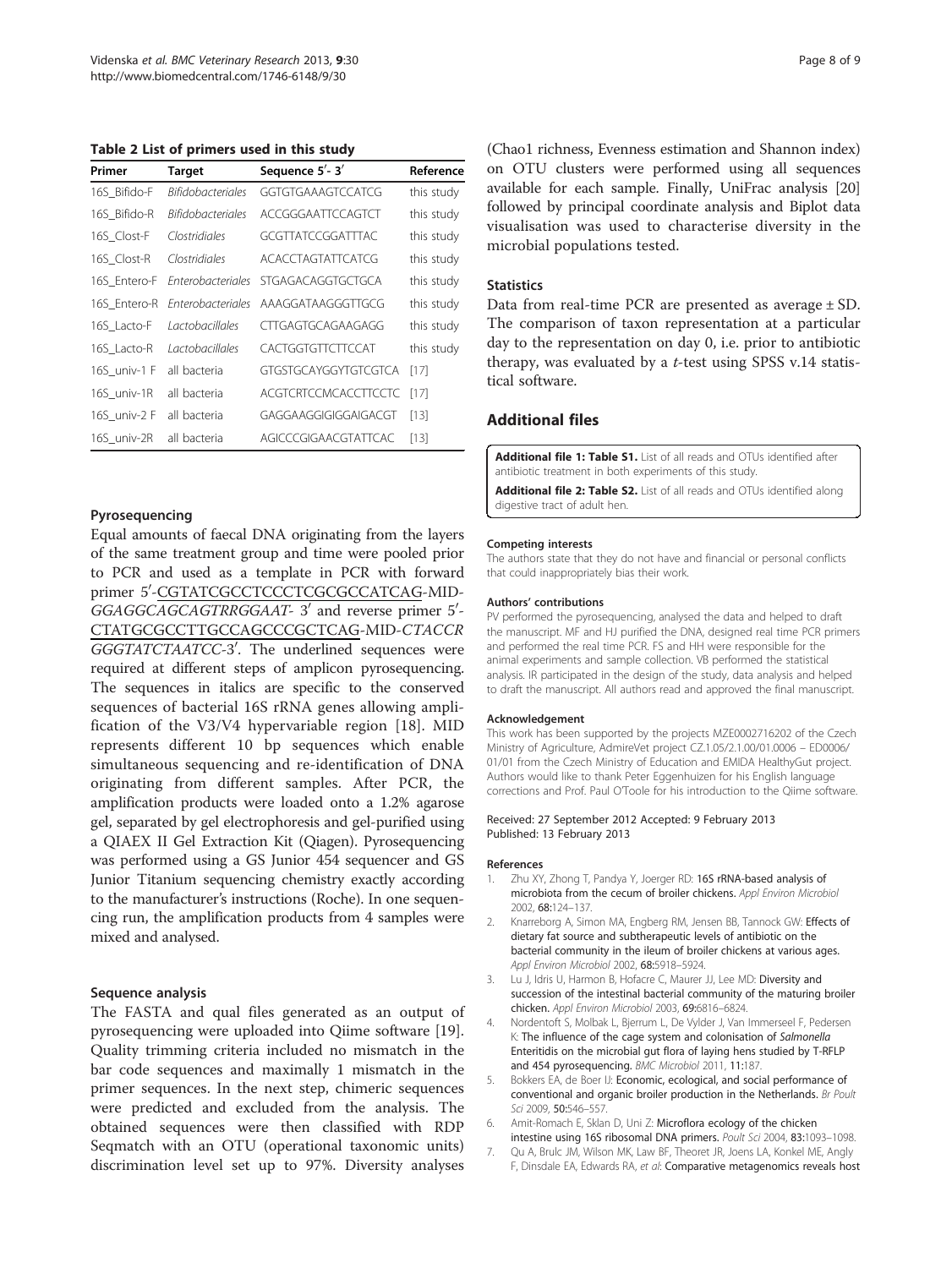<span id="page-7-0"></span>Table 2 List of primers used in this study

| Primer       | <b>Target</b>                   | Sequence $5'$ - $3'$        | Reference  |
|--------------|---------------------------------|-----------------------------|------------|
| 16S Bifido-F | <i><b>Bifidobacteriales</b></i> | GGTGTGAAAGTCCATCG           | this study |
| 16S Bifido-R | <i><b>Bifidobacteriales</b></i> | ACCGGGAATTCCAGTCT           | this study |
| 16S Clost-F  | Clostridiales                   | GCGTTATCCGGATTTAC           | this study |
| 16S Clost-R  | Clostridiales                   | ACACCTAGTATTCATCG           | this study |
| 16S Entero-F | Enterobacteriales               | <b>STGAGACAGGTGCTGCA</b>    | this study |
| 16S Entero-R | Enterobacteriales               | AAAGGATAAGGGTTGCG           | this study |
| 16S Lacto-F  | Lactobacillales                 | CTTGAGTGCAGAAGAGG           | this study |
| 16S Lacto-R  | <i>Lactobacillales</i>          | CACTGGTGTTCTTCCAT           | this study |
| 16S univ-1 F | all bacteria                    | GTGSTGCAYGGYTGTCGTCA        | [17]       |
| 16S univ-1R  | all bacteria                    | <b>ACGTCRTCCMCACCTTCCTC</b> | [17]       |
| 16S univ-2 F | all bacteria                    | GAGGAAGGIGIGGAIGACGT        | [13]       |
| 16S_univ-2R  | all bacteria                    | AGICCCGIGAACGTATTCAC        | [13]       |

#### Pyrosequencing

Equal amounts of faecal DNA originating from the layers of the same treatment group and time were pooled prior to PCR and used as a template in PCR with forward primer 5'-CGTATCGCCTCCCTCGCGCCATCAG-MID-GGAGGCAGCAGTRRGGAAT- 3' and reverse primer 5'-CTATGCGCCTTGCCAGCCCGCTCAG-MID-CTACCR GGGTATCTAATCC-3'. The underlined sequences were required at different steps of amplicon pyrosequencing. The sequences in italics are specific to the conserved sequences of bacterial 16S rRNA genes allowing amplification of the V3/V4 hypervariable region [[18\]](#page-8-0). MID represents different 10 bp sequences which enable simultaneous sequencing and re-identification of DNA originating from different samples. After PCR, the amplification products were loaded onto a 1.2% agarose gel, separated by gel electrophoresis and gel-purified using a QIAEX II Gel Extraction Kit (Qiagen). Pyrosequencing was performed using a GS Junior 454 sequencer and GS Junior Titanium sequencing chemistry exactly according to the manufacturer's instructions (Roche). In one sequencing run, the amplification products from 4 samples were mixed and analysed.

#### Sequence analysis

The FASTA and qual files generated as an output of pyrosequencing were uploaded into Qiime software [\[19](#page-8-0)]. Quality trimming criteria included no mismatch in the bar code sequences and maximally 1 mismatch in the primer sequences. In the next step, chimeric sequences were predicted and excluded from the analysis. The obtained sequences were then classified with RDP Seqmatch with an OTU (operational taxonomic units) discrimination level set up to 97%. Diversity analyses (Chao1 richness, Evenness estimation and Shannon index) on OTU clusters were performed using all sequences available for each sample. Finally, UniFrac analysis [[20](#page-8-0)] followed by principal coordinate analysis and Biplot data visualisation was used to characterise diversity in the microbial populations tested.

#### **Statistics**

Data from real-time PCR are presented as average ± SD. The comparison of taxon representation at a particular day to the representation on day 0, i.e. prior to antibiotic therapy, was evaluated by a t-test using SPSS v.14 statistical software.

#### Additional files

[Additional file 1: Table S1.](http://www.biomedcentral.com/content/supplementary/1746-6148-9-30-S1.xls) List of all reads and OTUs identified after antibiotic treatment in both experiments of this study.

[Additional file 2: Table S2.](http://www.biomedcentral.com/content/supplementary/1746-6148-9-30-S2.xls) List of all reads and OTUs identified along digestive tract of adult hen.

#### Competing interests

The authors state that they do not have and financial or personal conflicts that could inappropriately bias their work.

#### Authors' contributions

PV performed the pyrosequencing, analysed the data and helped to draft the manuscript. MF and HJ purified the DNA, designed real time PCR primers and performed the real time PCR. FS and HH were responsible for the animal experiments and sample collection. VB performed the statistical analysis. IR participated in the design of the study, data analysis and helped to draft the manuscript. All authors read and approved the final manuscript.

#### Acknowledgement

This work has been supported by the projects MZE0002716202 of the Czech Ministry of Agriculture, AdmireVet project CZ.1.05/2.1.00/01.0006 – ED0006/ 01/01 from the Czech Ministry of Education and EMIDA HealthyGut project. Authors would like to thank Peter Eggenhuizen for his English language corrections and Prof. Paul O'Toole for his introduction to the Qiime software.

#### Received: 27 September 2012 Accepted: 9 February 2013 Published: 13 February 2013

#### References

- 1. Zhu XY, Zhong T, Pandya Y, Joerger RD: 16S rRNA-based analysis of microbiota from the cecum of broiler chickens. Appl Environ Microbiol 2002, 68:124–137.
- 2. Knarreborg A, Simon MA, Engberg RM, Jensen BB, Tannock GW: Effects of dietary fat source and subtherapeutic levels of antibiotic on the bacterial community in the ileum of broiler chickens at various ages. Appl Environ Microbiol 2002, 68:5918–5924.
- 3. Lu J, Idris U, Harmon B, Hofacre C, Maurer JJ, Lee MD: Diversity and succession of the intestinal bacterial community of the maturing broiler chicken. Appl Environ Microbiol 2003, 69:6816–6824.
- 4. Nordentoft S, Molbak L, Bjerrum L, De Vylder J, Van Immerseel F, Pedersen K: The influence of the cage system and colonisation of Salmonella Enteritidis on the microbial gut flora of laying hens studied by T-RFLP and 454 pyrosequencing. BMC Microbiol 2011, 11:187
- 5. Bokkers EA, de Boer IJ: Economic, ecological, and social performance of conventional and organic broiler production in the Netherlands. Br Poult Sci 2009, 50:546-557.
- 6. Amit-Romach E, Sklan D, Uni Z: Microflora ecology of the chicken intestine using 16S ribosomal DNA primers. Poult Sci 2004, 83:1093–1098.
- 7. Qu A, Brulc JM, Wilson MK, Law BF, Theoret JR, Joens LA, Konkel ME, Angly F, Dinsdale EA, Edwards RA, et al: Comparative metagenomics reveals host